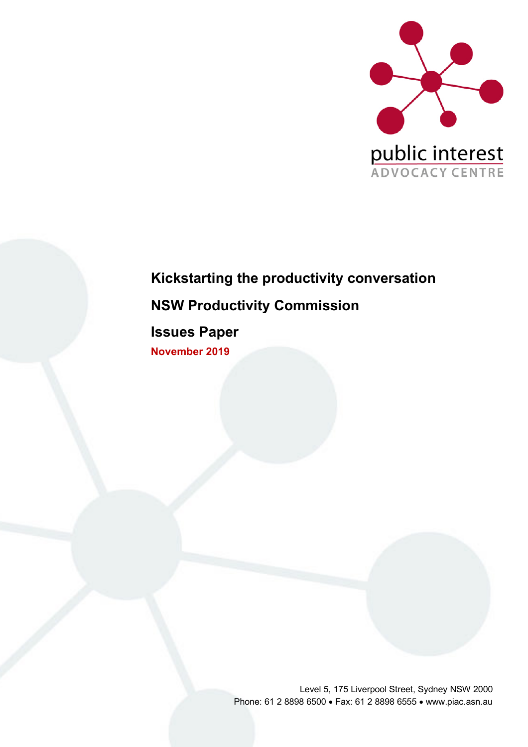

# **Kickstarting the productivity conversation NSW Productivity Commission**

**Issues Paper November 2019**

> Level 5, 175 Liverpool Street, Sydney NSW 2000 Phone: 61 2 8898 6500 • Fax: 61 2 8898 6555 • www.piac.asn.au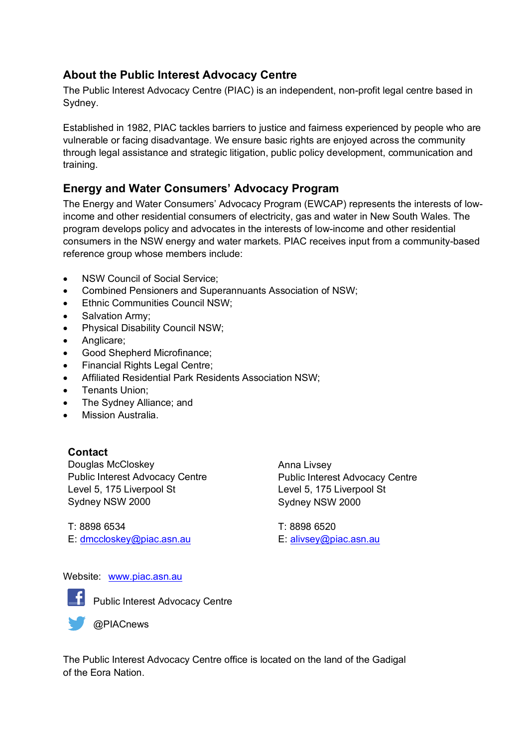### **About the Public Interest Advocacy Centre**

The Public Interest Advocacy Centre (PIAC) is an independent, non-profit legal centre based in Sydney.

Established in 1982, PIAC tackles barriers to justice and fairness experienced by people who are vulnerable or facing disadvantage. We ensure basic rights are enjoyed across the community through legal assistance and strategic litigation, public policy development, communication and training.

### **Energy and Water Consumers' Advocacy Program**

The Energy and Water Consumers' Advocacy Program (EWCAP) represents the interests of lowincome and other residential consumers of electricity, gas and water in New South Wales. The program develops policy and advocates in the interests of low-income and other residential consumers in the NSW energy and water markets. PIAC receives input from a community-based reference group whose members include:

- NSW Council of Social Service:
- Combined Pensioners and Superannuants Association of NSW;
- Ethnic Communities Council NSW;
- Salvation Army;
- Physical Disability Council NSW;
- Anglicare;
- Good Shepherd Microfinance;
- Financial Rights Legal Centre;
- Affiliated Residential Park Residents Association NSW;
- Tenants Union;
- The Sydney Alliance; and
- Mission Australia.

#### **Contact**

Douglas McCloskey Public Interest Advocacy Centre Level 5, 175 Liverpool St Sydney NSW 2000

Anna Livsey Public Interest Advocacy Centre Level 5, 175 Liverpool St Sydney NSW 2000

T: 8898 6534 E: dmccloskey@piac.asn.au T: 8898 6520 E: alivsey@piac.asn.au

#### Website: www.piac.asn.au



**F** Public Interest Advocacy Centre

@PIACnews

The Public Interest Advocacy Centre office is located on the land of the Gadigal of the Eora Nation.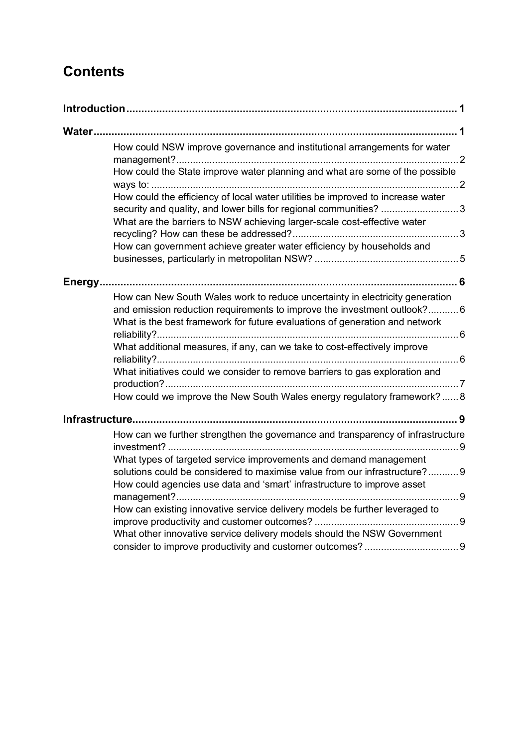# **Contents**

| <b>Water</b> |                                                                                                                                                                                                                                        |
|--------------|----------------------------------------------------------------------------------------------------------------------------------------------------------------------------------------------------------------------------------------|
|              | How could NSW improve governance and institutional arrangements for water                                                                                                                                                              |
|              | How could the State improve water planning and what are some of the possible                                                                                                                                                           |
|              | How could the efficiency of local water utilities be improved to increase water<br>security and quality, and lower bills for regional communities? 3                                                                                   |
|              | What are the barriers to NSW achieving larger-scale cost-effective water                                                                                                                                                               |
|              | How can government achieve greater water efficiency by households and                                                                                                                                                                  |
|              |                                                                                                                                                                                                                                        |
|              | How can New South Wales work to reduce uncertainty in electricity generation<br>and emission reduction requirements to improve the investment outlook?6<br>What is the best framework for future evaluations of generation and network |
|              | What additional measures, if any, can we take to cost-effectively improve                                                                                                                                                              |
|              | What initiatives could we consider to remove barriers to gas exploration and                                                                                                                                                           |
|              | How could we improve the New South Wales energy regulatory framework? 8                                                                                                                                                                |
|              |                                                                                                                                                                                                                                        |
|              | How can we further strengthen the governance and transparency of infrastructure                                                                                                                                                        |
|              | What types of targeted service improvements and demand management<br>solutions could be considered to maximise value from our infrastructure?9                                                                                         |
|              | How could agencies use data and 'smart' infrastructure to improve asset                                                                                                                                                                |
|              | How can existing innovative service delivery models be further leveraged to                                                                                                                                                            |
|              | What other innovative service delivery models should the NSW Government                                                                                                                                                                |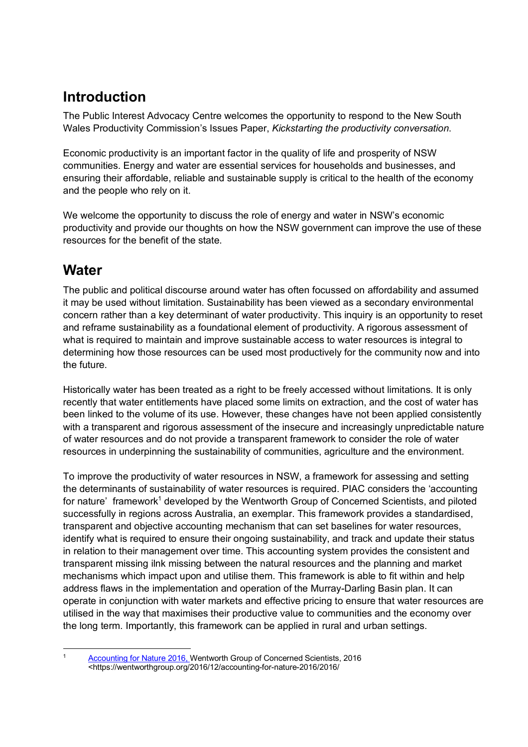## **Introduction**

The Public Interest Advocacy Centre welcomes the opportunity to respond to the New South Wales Productivity Commission's Issues Paper, *Kickstarting the productivity conversation*.

Economic productivity is an important factor in the quality of life and prosperity of NSW communities. Energy and water are essential services for households and businesses, and ensuring their affordable, reliable and sustainable supply is critical to the health of the economy and the people who rely on it.

We welcome the opportunity to discuss the role of energy and water in NSW's economic productivity and provide our thoughts on how the NSW government can improve the use of these resources for the benefit of the state.

### **Water**

The public and political discourse around water has often focussed on affordability and assumed it may be used without limitation. Sustainability has been viewed as a secondary environmental concern rather than a key determinant of water productivity. This inquiry is an opportunity to reset and reframe sustainability as a foundational element of productivity. A rigorous assessment of what is required to maintain and improve sustainable access to water resources is integral to determining how those resources can be used most productively for the community now and into the future.

Historically water has been treated as a right to be freely accessed without limitations. It is only recently that water entitlements have placed some limits on extraction, and the cost of water has been linked to the volume of its use. However, these changes have not been applied consistently with a transparent and rigorous assessment of the insecure and increasingly unpredictable nature of water resources and do not provide a transparent framework to consider the role of water resources in underpinning the sustainability of communities, agriculture and the environment.

To improve the productivity of water resources in NSW, a framework for assessing and setting the determinants of sustainability of water resources is required. PIAC considers the 'accounting for nature' framework<sup>1</sup> developed by the Wentworth Group of Concerned Scientists, and piloted successfully in regions across Australia, an exemplar. This framework provides a standardised, transparent and objective accounting mechanism that can set baselines for water resources, identify what is required to ensure their ongoing sustainability, and track and update their status in relation to their management over time. This accounting system provides the consistent and transparent missing ilnk missing between the natural resources and the planning and market mechanisms which impact upon and utilise them. This framework is able to fit within and help address flaws in the implementation and operation of the Murray-Darling Basin plan. It can operate in conjunction with water markets and effective pricing to ensure that water resources are utilised in the way that maximises their productive value to communities and the economy over the long term. Importantly, this framework can be applied in rural and urban settings.

Accounting for Nature 2016, Wentworth Group of Concerned Scientists, 2016 <https://wentworthgroup.org/2016/12/accounting-for-nature-2016/2016/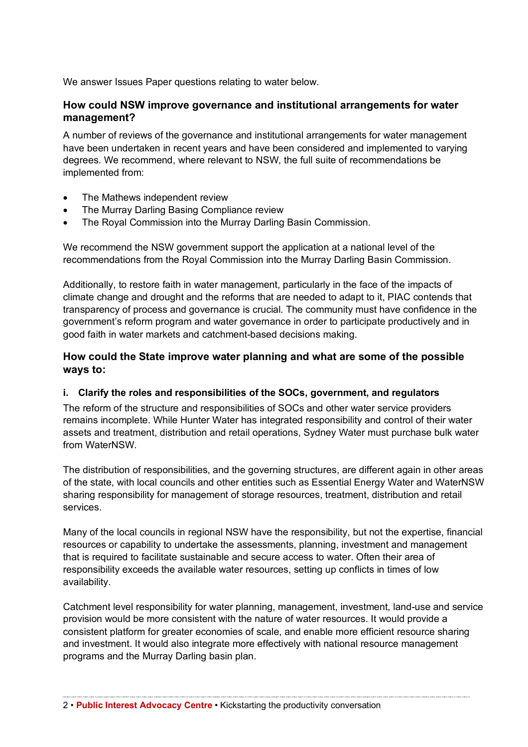We answer Issues Paper questions relating to water below.

#### **How could NSW improve governance and institutional arrangements for water management?**

A number of reviews of the governance and institutional arrangements for water management have been undertaken in recent years and have been considered and implemented to varying degrees. We recommend, where relevant to NSW, the full suite of recommendations be implemented from:

- The Mathews independent review
- The Murray Darling Basing Compliance review
- The Royal Commission into the Murray Darling Basin Commission.

We recommend the NSW government support the application at a national level of the recommendations from the Royal Commission into the Murray Darling Basin Commission.

Additionally, to restore faith in water management, particularly in the face of the impacts of climate change and drought and the reforms that are needed to adapt to it, PIAC contends that transparency of process and governance is crucial. The community must have confidence in the government's reform program and water governance in order to participate productively and in good faith in water markets and catchment-based decisions making.

#### **How could the State improve water planning and what are some of the possible ways to:**

#### **i. Clarify the roles and responsibilities of the SOCs, government, and regulators**

The reform of the structure and responsibilities of SOCs and other water service providers remains incomplete. While Hunter Water has integrated responsibility and control of their water assets and treatment, distribution and retail operations, Sydney Water must purchase bulk water from WaterNSW.

The distribution of responsibilities, and the governing structures, are different again in other areas of the state, with local councils and other entities such as Essential Energy Water and WaterNSW sharing responsibility for management of storage resources, treatment, distribution and retail services.

Many of the local councils in regional NSW have the responsibility, but not the expertise, financial resources or capability to undertake the assessments, planning, investment and management that is required to facilitate sustainable and secure access to water. Often their area of responsibility exceeds the available water resources, setting up conflicts in times of low availability.

Catchment level responsibility for water planning, management, investment, land-use and service provision would be more consistent with the nature of water resources. It would provide a consistent platform for greater economies of scale, and enable more efficient resource sharing and investment. It would also integrate more effectively with national resource management programs and the Murray Darling basin plan.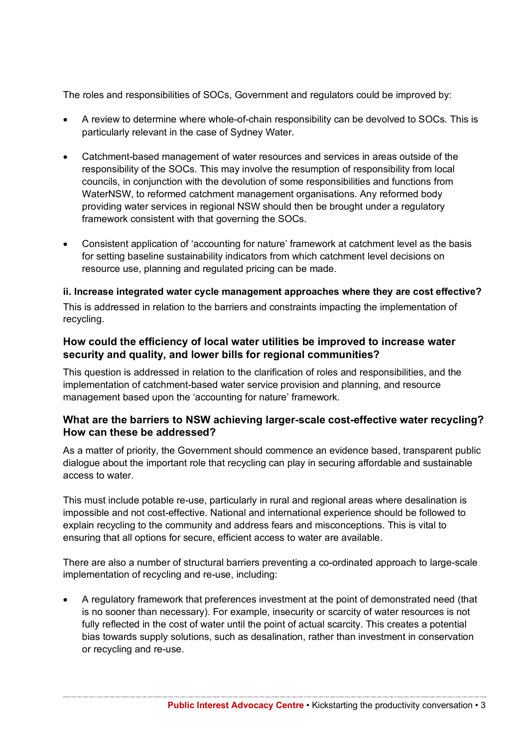The roles and responsibilities of SOCs, Government and regulators could be improved by:

- A review to determine where whole-of-chain responsibility can be devolved to SOCs. This is particularly relevant in the case of Sydney Water.
- Catchment-based management of water resources and services in areas outside of the responsibility of the SOCs. This may involve the resumption of responsibility from local councils, in conjunction with the devolution of some responsibilities and functions from WaterNSW, to reformed catchment management organisations. Any reformed body providing water services in regional NSW should then be brought under a regulatory framework consistent with that governing the SOCs.
- Consistent application of 'accounting for nature' framework at catchment level as the basis for setting baseline sustainability indicators from which catchment level decisions on resource use, planning and regulated pricing can be made.

#### **ii. Increase integrated water cycle management approaches where they are cost effective?**

This is addressed in relation to the barriers and constraints impacting the implementation of recycling.

#### **How could the efficiency of local water utilities be improved to increase water security and quality, and lower bills for regional communities?**

This question is addressed in relation to the clarification of roles and responsibilities, and the implementation of catchment-based water service provision and planning, and resource management based upon the 'accounting for nature' framework.

#### **What are the barriers to NSW achieving larger-scale cost-effective water recycling? How can these be addressed?**

As a matter of priority, the Government should commence an evidence based, transparent public dialogue about the important role that recycling can play in securing affordable and sustainable access to water.

This must include potable re-use, particularly in rural and regional areas where desalination is impossible and not cost-effective. National and international experience should be followed to explain recycling to the community and address fears and misconceptions. This is vital to ensuring that all options for secure, efficient access to water are available.

There are also a number of structural barriers preventing a co-ordinated approach to large-scale implementation of recycling and re-use, including:

• A regulatory framework that preferences investment at the point of demonstrated need (that is no sooner than necessary). For example, insecurity or scarcity of water resources is not fully reflected in the cost of water until the point of actual scarcity. This creates a potential bias towards supply solutions, such as desalination, rather than investment in conservation or recycling and re-use.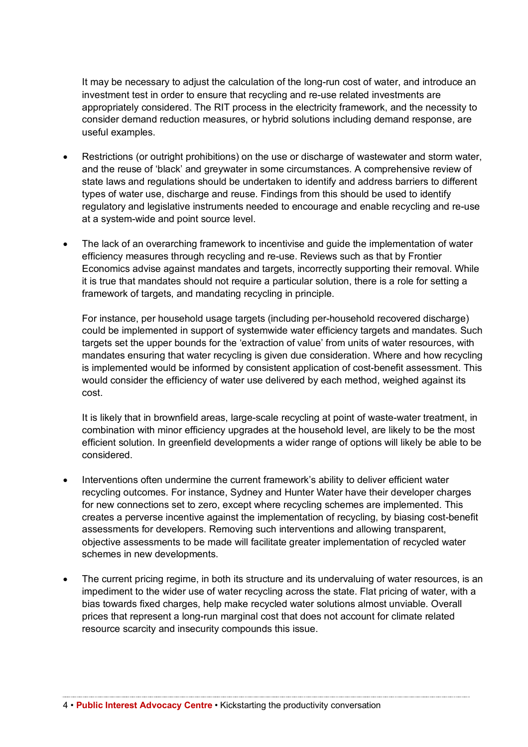It may be necessary to adjust the calculation of the long-run cost of water, and introduce an investment test in order to ensure that recycling and re-use related investments are appropriately considered. The RIT process in the electricity framework, and the necessity to consider demand reduction measures, or hybrid solutions including demand response, are useful examples.

- Restrictions (or outright prohibitions) on the use or discharge of wastewater and storm water, and the reuse of 'black' and greywater in some circumstances. A comprehensive review of state laws and regulations should be undertaken to identify and address barriers to different types of water use, discharge and reuse. Findings from this should be used to identify regulatory and legislative instruments needed to encourage and enable recycling and re-use at a system-wide and point source level.
- The lack of an overarching framework to incentivise and guide the implementation of water efficiency measures through recycling and re-use. Reviews such as that by Frontier Economics advise against mandates and targets, incorrectly supporting their removal. While it is true that mandates should not require a particular solution, there is a role for setting a framework of targets, and mandating recycling in principle.

For instance, per household usage targets (including per-household recovered discharge) could be implemented in support of systemwide water efficiency targets and mandates. Such targets set the upper bounds for the 'extraction of value' from units of water resources, with mandates ensuring that water recycling is given due consideration. Where and how recycling is implemented would be informed by consistent application of cost-benefit assessment. This would consider the efficiency of water use delivered by each method, weighed against its cost.

It is likely that in brownfield areas, large-scale recycling at point of waste-water treatment, in combination with minor efficiency upgrades at the household level, are likely to be the most efficient solution. In greenfield developments a wider range of options will likely be able to be considered.

- Interventions often undermine the current framework's ability to deliver efficient water recycling outcomes. For instance, Sydney and Hunter Water have their developer charges for new connections set to zero, except where recycling schemes are implemented. This creates a perverse incentive against the implementation of recycling, by biasing cost-benefit assessments for developers. Removing such interventions and allowing transparent, objective assessments to be made will facilitate greater implementation of recycled water schemes in new developments.
- The current pricing regime, in both its structure and its undervaluing of water resources, is an impediment to the wider use of water recycling across the state. Flat pricing of water, with a bias towards fixed charges, help make recycled water solutions almost unviable. Overall prices that represent a long-run marginal cost that does not account for climate related resource scarcity and insecurity compounds this issue.

4 • **Public Interest Advocacy Centre** • Kickstarting the productivity conversation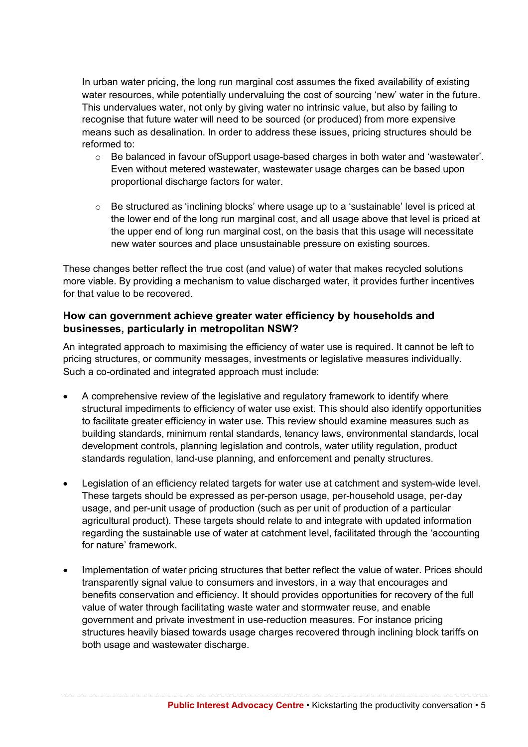In urban water pricing, the long run marginal cost assumes the fixed availability of existing water resources, while potentially undervaluing the cost of sourcing 'new' water in the future. This undervalues water, not only by giving water no intrinsic value, but also by failing to recognise that future water will need to be sourced (or produced) from more expensive means such as desalination. In order to address these issues, pricing structures should be reformed to:

- $\circ$  Be balanced in favour of Support usage-based charges in both water and 'wastewater'. Even without metered wastewater, wastewater usage charges can be based upon proportional discharge factors for water.
- $\circ$  Be structured as 'inclining blocks' where usage up to a 'sustainable' level is priced at the lower end of the long run marginal cost, and all usage above that level is priced at the upper end of long run marginal cost, on the basis that this usage will necessitate new water sources and place unsustainable pressure on existing sources.

These changes better reflect the true cost (and value) of water that makes recycled solutions more viable. By providing a mechanism to value discharged water, it provides further incentives for that value to be recovered.

#### **How can government achieve greater water efficiency by households and businesses, particularly in metropolitan NSW?**

An integrated approach to maximising the efficiency of water use is required. It cannot be left to pricing structures, or community messages, investments or legislative measures individually. Such a co-ordinated and integrated approach must include:

- A comprehensive review of the legislative and regulatory framework to identify where structural impediments to efficiency of water use exist. This should also identify opportunities to facilitate greater efficiency in water use. This review should examine measures such as building standards, minimum rental standards, tenancy laws, environmental standards, local development controls, planning legislation and controls, water utility regulation, product standards regulation, land-use planning, and enforcement and penalty structures.
- Legislation of an efficiency related targets for water use at catchment and system-wide level. These targets should be expressed as per-person usage, per-household usage, per-day usage, and per-unit usage of production (such as per unit of production of a particular agricultural product). These targets should relate to and integrate with updated information regarding the sustainable use of water at catchment level, facilitated through the 'accounting for nature' framework.
- Implementation of water pricing structures that better reflect the value of water. Prices should transparently signal value to consumers and investors, in a way that encourages and benefits conservation and efficiency. It should provides opportunities for recovery of the full value of water through facilitating waste water and stormwater reuse, and enable government and private investment in use-reduction measures. For instance pricing structures heavily biased towards usage charges recovered through inclining block tariffs on both usage and wastewater discharge.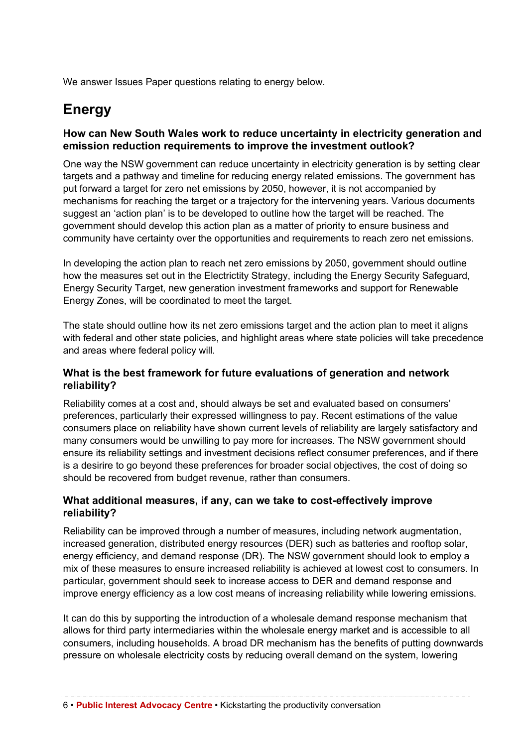We answer Issues Paper questions relating to energy below.

### **Energy**

#### **How can New South Wales work to reduce uncertainty in electricity generation and emission reduction requirements to improve the investment outlook?**

One way the NSW government can reduce uncertainty in electricity generation is by setting clear targets and a pathway and timeline for reducing energy related emissions. The government has put forward a target for zero net emissions by 2050, however, it is not accompanied by mechanisms for reaching the target or a trajectory for the intervening years. Various documents suggest an 'action plan' is to be developed to outline how the target will be reached. The government should develop this action plan as a matter of priority to ensure business and community have certainty over the opportunities and requirements to reach zero net emissions.

In developing the action plan to reach net zero emissions by 2050, government should outline how the measures set out in the Electrictity Strategy, including the Energy Security Safeguard, Energy Security Target, new generation investment frameworks and support for Renewable Energy Zones, will be coordinated to meet the target.

The state should outline how its net zero emissions target and the action plan to meet it aligns with federal and other state policies, and highlight areas where state policies will take precedence and areas where federal policy will.

#### **What is the best framework for future evaluations of generation and network reliability?**

Reliability comes at a cost and, should always be set and evaluated based on consumers' preferences, particularly their expressed willingness to pay. Recent estimations of the value consumers place on reliability have shown current levels of reliability are largely satisfactory and many consumers would be unwilling to pay more for increases. The NSW government should ensure its reliability settings and investment decisions reflect consumer preferences, and if there is a desirire to go beyond these preferences for broader social objectives, the cost of doing so should be recovered from budget revenue, rather than consumers.

#### **What additional measures, if any, can we take to cost-effectively improve reliability?**

Reliability can be improved through a number of measures, including network augmentation, increased generation, distributed energy resources (DER) such as batteries and rooftop solar, energy efficiency, and demand response (DR). The NSW government should look to employ a mix of these measures to ensure increased reliability is achieved at lowest cost to consumers. In particular, government should seek to increase access to DER and demand response and improve energy efficiency as a low cost means of increasing reliability while lowering emissions.

It can do this by supporting the introduction of a wholesale demand response mechanism that allows for third party intermediaries within the wholesale energy market and is accessible to all consumers, including households. A broad DR mechanism has the benefits of putting downwards pressure on wholesale electricity costs by reducing overall demand on the system, lowering

6 • **Public Interest Advocacy Centre** • Kickstarting the productivity conversation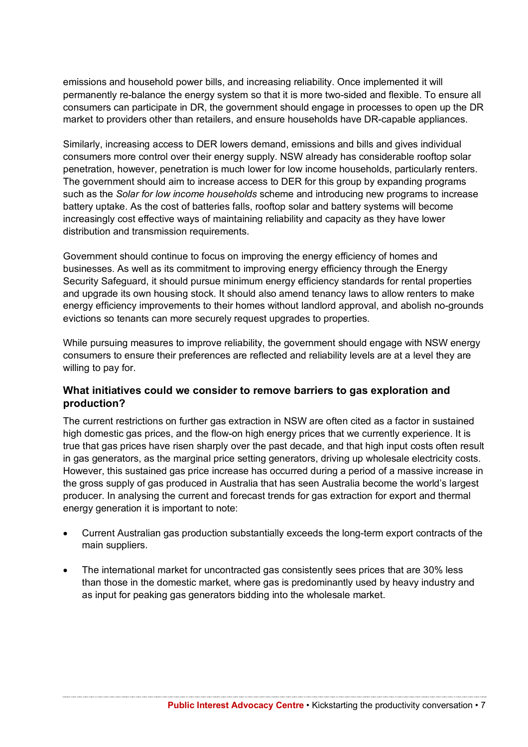emissions and household power bills, and increasing reliability. Once implemented it will permanently re-balance the energy system so that it is more two-sided and flexible. To ensure all consumers can participate in DR, the government should engage in processes to open up the DR market to providers other than retailers, and ensure households have DR-capable appliances.

Similarly, increasing access to DER lowers demand, emissions and bills and gives individual consumers more control over their energy supply. NSW already has considerable rooftop solar penetration, however, penetration is much lower for low income households, particularly renters. The government should aim to increase access to DER for this group by expanding programs such as the *Solar for low income households* scheme and introducing new programs to increase battery uptake. As the cost of batteries falls, rooftop solar and battery systems will become increasingly cost effective ways of maintaining reliability and capacity as they have lower distribution and transmission requirements.

Government should continue to focus on improving the energy efficiency of homes and businesses. As well as its commitment to improving energy efficiency through the Energy Security Safeguard, it should pursue minimum energy efficiency standards for rental properties and upgrade its own housing stock. It should also amend tenancy laws to allow renters to make energy efficiency improvements to their homes without landlord approval, and abolish no-grounds evictions so tenants can more securely request upgrades to properties.

While pursuing measures to improve reliability, the government should engage with NSW energy consumers to ensure their preferences are reflected and reliability levels are at a level they are willing to pay for.

#### **What initiatives could we consider to remove barriers to gas exploration and production?**

The current restrictions on further gas extraction in NSW are often cited as a factor in sustained high domestic gas prices, and the flow-on high energy prices that we currently experience. It is true that gas prices have risen sharply over the past decade, and that high input costs often result in gas generators, as the marginal price setting generators, driving up wholesale electricity costs. However, this sustained gas price increase has occurred during a period of a massive increase in the gross supply of gas produced in Australia that has seen Australia become the world's largest producer. In analysing the current and forecast trends for gas extraction for export and thermal energy generation it is important to note:

- Current Australian gas production substantially exceeds the long-term export contracts of the main suppliers.
- The international market for uncontracted gas consistently sees prices that are 30% less than those in the domestic market, where gas is predominantly used by heavy industry and as input for peaking gas generators bidding into the wholesale market.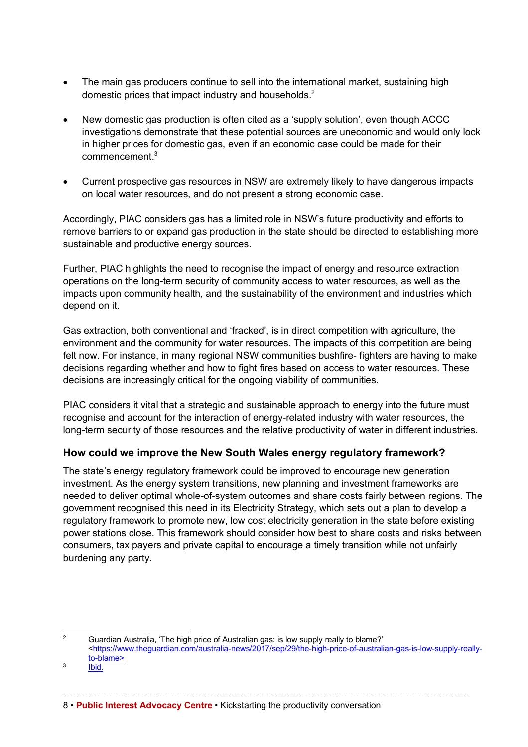- The main gas producers continue to sell into the international market, sustaining high domestic prices that impact industry and households.<sup>2</sup>
- New domestic gas production is often cited as a 'supply solution', even though ACCC investigations demonstrate that these potential sources are uneconomic and would only lock in higher prices for domestic gas, even if an economic case could be made for their  $commence$ ment $^3$
- Current prospective gas resources in NSW are extremely likely to have dangerous impacts on local water resources, and do not present a strong economic case.

Accordingly, PIAC considers gas has a limited role in NSW's future productivity and efforts to remove barriers to or expand gas production in the state should be directed to establishing more sustainable and productive energy sources.

Further, PIAC highlights the need to recognise the impact of energy and resource extraction operations on the long-term security of community access to water resources, as well as the impacts upon community health, and the sustainability of the environment and industries which depend on it.

Gas extraction, both conventional and 'fracked', is in direct competition with agriculture, the environment and the community for water resources. The impacts of this competition are being felt now. For instance, in many regional NSW communities bushfire- fighters are having to make decisions regarding whether and how to fight fires based on access to water resources. These decisions are increasingly critical for the ongoing viability of communities.

PIAC considers it vital that a strategic and sustainable approach to energy into the future must recognise and account for the interaction of energy-related industry with water resources, the long-term security of those resources and the relative productivity of water in different industries.

#### **How could we improve the New South Wales energy regulatory framework?**

The state's energy regulatory framework could be improved to encourage new generation investment. As the energy system transitions, new planning and investment frameworks are needed to deliver optimal whole-of-system outcomes and share costs fairly between regions. The government recognised this need in its Electricity Strategy, which sets out a plan to develop a regulatory framework to promote new, low cost electricity generation in the state before existing power stations close. This framework should consider how best to share costs and risks between consumers, tax payers and private capital to encourage a timely transition while not unfairly burdening any party.

<sup>&</sup>lt;sup>2</sup> Guardian Australia, 'The high price of Australian gas: is low supply really to blame?' <https://www.theguardian.com/australia-news/2017/sep/29/the-high-price-of-australian-gas-is-low-supply-reallyto-blame>

 $3 \overline{1}$   $1 \overline{1}$   $1 \overline{1}$